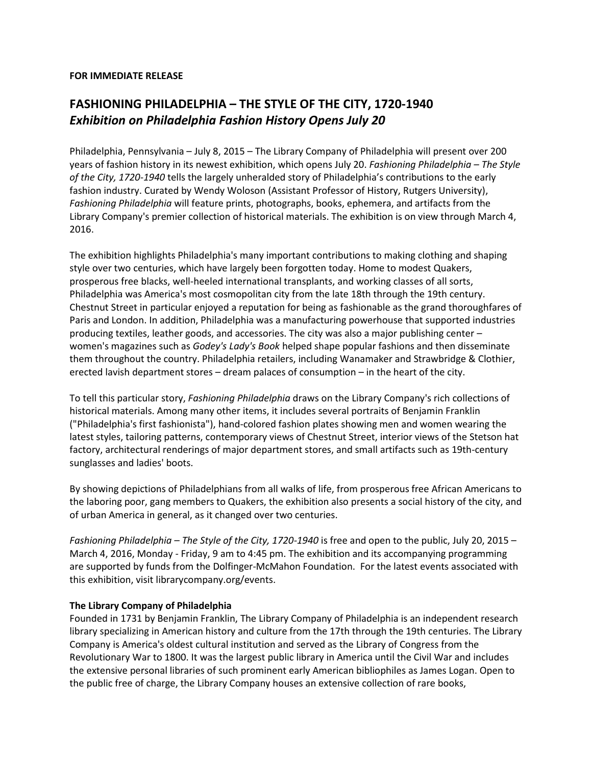## **FOR IMMEDIATE RELEASE**

## **FASHIONING PHILADELPHIA – THE STYLE OF THE CITY, 1720-1940** *Exhibition on Philadelphia Fashion History Opens July 20*

Philadelphia, Pennsylvania – July 8, 2015 – The Library Company of Philadelphia will present over 200 years of fashion history in its newest exhibition, which opens July 20. *Fashioning Philadelphia – The Style of the City, 1720-1940* tells the largely unheralded story of Philadelphia's contributions to the early fashion industry. Curated by Wendy Woloson (Assistant Professor of History, Rutgers University), *Fashioning Philadelphia* will feature prints, photographs, books, ephemera, and artifacts from the Library Company's premier collection of historical materials. The exhibition is on view through March 4, 2016.

The exhibition highlights Philadelphia's many important contributions to making clothing and shaping style over two centuries, which have largely been forgotten today. Home to modest Quakers, prosperous free blacks, well-heeled international transplants, and working classes of all sorts, Philadelphia was America's most cosmopolitan city from the late 18th through the 19th century. Chestnut Street in particular enjoyed a reputation for being as fashionable as the grand thoroughfares of Paris and London. In addition, Philadelphia was a manufacturing powerhouse that supported industries producing textiles, leather goods, and accessories. The city was also a major publishing center – women's magazines such as *Godey's Lady's Book* helped shape popular fashions and then disseminate them throughout the country. Philadelphia retailers, including Wanamaker and Strawbridge & Clothier, erected lavish department stores – dream palaces of consumption – in the heart of the city.

To tell this particular story, *Fashioning Philadelphia* draws on the Library Company's rich collections of historical materials. Among many other items, it includes several portraits of Benjamin Franklin ("Philadelphia's first fashionista"), hand-colored fashion plates showing men and women wearing the latest styles, tailoring patterns, contemporary views of Chestnut Street, interior views of the Stetson hat factory, architectural renderings of major department stores, and small artifacts such as 19th-century sunglasses and ladies' boots.

By showing depictions of Philadelphians from all walks of life, from prosperous free African Americans to the laboring poor, gang members to Quakers, the exhibition also presents a social history of the city, and of urban America in general, as it changed over two centuries.

*Fashioning Philadelphia – The Style of the City, 1720-1940* is free and open to the public, July 20, 2015 – March 4, 2016, Monday - Friday, 9 am to 4:45 pm. The exhibition and its accompanying programming are supported by funds from the Dolfinger-McMahon Foundation. For the latest events associated with this exhibition, visit librarycompany.org/events.

## **The Library Company of Philadelphia**

Founded in 1731 by Benjamin Franklin, The Library Company of Philadelphia is an independent research library specializing in American history and culture from the 17th through the 19th centuries. The Library Company is America's oldest cultural institution and served as the Library of Congress from the Revolutionary War to 1800. It was the largest public library in America until the Civil War and includes the extensive personal libraries of such prominent early American bibliophiles as James Logan. Open to the public free of charge, the Library Company houses an extensive collection of rare books,